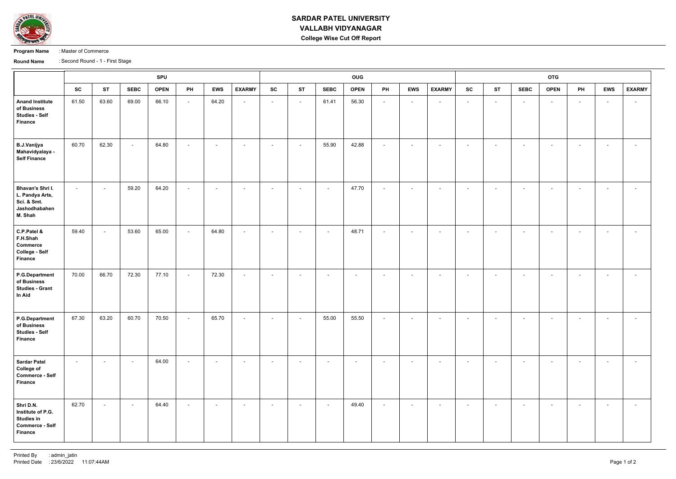

## **SARDAR PATEL UNIVERSITY VALLABH VIDYANAGAR College Wise Cut Off Report**

**Program Name** : Master of Commerce

**Round Name** : Second Round - 1 - First Stage

|                                                                                                 |        |           |             | <b>SPU</b>  |                          |                          |                          |                          | OUG                      |                          |             |                          |                          |                          |           |           | <b>OTG</b>               |                          |                          |                          |                          |  |  |
|-------------------------------------------------------------------------------------------------|--------|-----------|-------------|-------------|--------------------------|--------------------------|--------------------------|--------------------------|--------------------------|--------------------------|-------------|--------------------------|--------------------------|--------------------------|-----------|-----------|--------------------------|--------------------------|--------------------------|--------------------------|--------------------------|--|--|
|                                                                                                 | SC     | <b>ST</b> | <b>SEBC</b> | <b>OPEN</b> | PH                       | <b>EWS</b>               | <b>EXARMY</b>            | SC                       | <b>ST</b>                | <b>SEBC</b>              | <b>OPEN</b> | PH                       | <b>EWS</b>               | <b>EXARMY</b>            | <b>SC</b> | <b>ST</b> | <b>SEBC</b>              | <b>OPEN</b>              | PH                       | <b>EWS</b>               | <b>EXARMY</b>            |  |  |
| <b>Anand Institute</b><br>of Business<br><b>Studies - Self</b><br><b>Finance</b>                | 61.50  | 63.60     | 69.00       | 66.10       | $\sim$                   | 64.20                    | $\overline{\phantom{a}}$ | $\sim$                   | $\overline{\phantom{a}}$ | 61.41                    | 56.30       | $\sim$                   | $\sim$                   | $\sim$                   | $\sim$    | $\sim$    | $\sim$                   | $\sim$                   | $\sim$                   | $\sim$                   | $\sim$                   |  |  |
| <b>B.J.Vanijya</b><br>Mahavidyalaya -<br><b>Self Finance</b>                                    | 60.70  | 62.30     | $\sim$      | 64.80       | $\blacksquare$           | $\sim$                   | $\sim$                   | $\overline{\phantom{a}}$ | $\overline{\phantom{a}}$ | 55.90                    | 42.88       | $\overline{a}$           | $\sim$                   | $\sim$                   | $\sim$    | $\sim$    | $\sim$                   | $\overline{\phantom{0}}$ | $\sim$                   | $\sim$                   | $\sim$                   |  |  |
| Bhavan's Shri I.<br>L. Pandya Arts,<br>Sci. & Smt.<br>Jashodhabahen<br>M. Shah                  | $\sim$ | $\sim$    | 59.20       | 64.20       | $\blacksquare$           | $\overline{\phantom{a}}$ | $\overline{\phantom{a}}$ | $\overline{\phantom{a}}$ | $\overline{\phantom{a}}$ | $\sim$                   | 47.70       | $\sim$                   | $\overline{\phantom{a}}$ | $\sim$                   | $\sim$    | $\sim$    | $\sim$                   | $\overline{\phantom{0}}$ | $\sim$                   | $\sim$                   | $\sim$                   |  |  |
| C.P.Patel &<br>F.H.Shah<br>Commerce<br><b>College - Self</b><br><b>Finance</b>                  | 59.40  | $\sim$    | 53.60       | 65.00       | $\blacksquare$           | 64.80                    | $\overline{\phantom{a}}$ | $\overline{\phantom{a}}$ | $\overline{\phantom{a}}$ | $\overline{\phantom{a}}$ | 48.71       | $\overline{\phantom{a}}$ | $\overline{\phantom{a}}$ | $\sim$                   | $\sim$    | $\sim$    | $\overline{\phantom{a}}$ | $\overline{\phantom{0}}$ | $\sim$                   |                          | $\overline{\phantom{a}}$ |  |  |
| <b>P.G.Department</b><br>of Business<br><b>Studies - Grant</b><br>In Aid                        | 70.00  | 66.70     | 72.30       | 77.10       | $\sim$                   | 72.30                    | $\sim$                   | $\overline{\phantom{a}}$ | $\overline{\phantom{a}}$ | $\sim$                   | $\sim$      | $\sim$                   | $\sim$                   | $\sim$                   | $\sim$    | $\sim$    | $\sim$                   | $\sim$                   | $\sim$                   | $\sim$                   | $\sim$                   |  |  |
| <b>P.G.Department</b><br>of Business<br><b>Studies - Self</b><br><b>Finance</b>                 | 67.30  | 63.20     | 60.70       | 70.50       | $\overline{\phantom{a}}$ | 65.70                    | $\overline{\phantom{a}}$ | $\overline{\phantom{a}}$ | $\overline{\phantom{a}}$ | 55.00                    | 55.50       | $\sim$                   | $\overline{\phantom{a}}$ | $\sim$                   | $\sim$    | $\sim$    | $\sim$                   | $\sim$                   | $\sim$                   | $\sim$                   | $\sim$                   |  |  |
| <b>Sardar Patel</b><br><b>College of</b><br><b>Commerce - Self</b><br><b>Finance</b>            | $\sim$ | $\sim$    | $\sim$      | 64.00       | $\sim$                   | $\sim$                   | $\overline{\phantom{a}}$ | $\overline{\phantom{a}}$ | $\overline{\phantom{a}}$ | $\sim$                   | $\sim$      | $\sim$                   | $\sim$                   | $\overline{\phantom{0}}$ | $\sim$    | $\sim$    | $\sim$                   | $\overline{\phantom{0}}$ | $\overline{\phantom{0}}$ | $\overline{\phantom{0}}$ | $\sim$                   |  |  |
| Shri D.N.<br>Institute of P.G.<br><b>Studies in</b><br><b>Commerce - Self</b><br><b>Finance</b> | 62.70  | $\sim$    | $\sim$      | 64.40       | $\sim$                   | $\sim$                   | $\sim$                   | $\sim$                   | $\sim$                   | $\sim$                   | 49.40       | $\sim$                   | $\sim$                   | $\sim$                   | $\sim$    | $\sim$    | $\sim$                   | $\sim$                   | $\sim$                   | $\sim$                   | $\sim$                   |  |  |